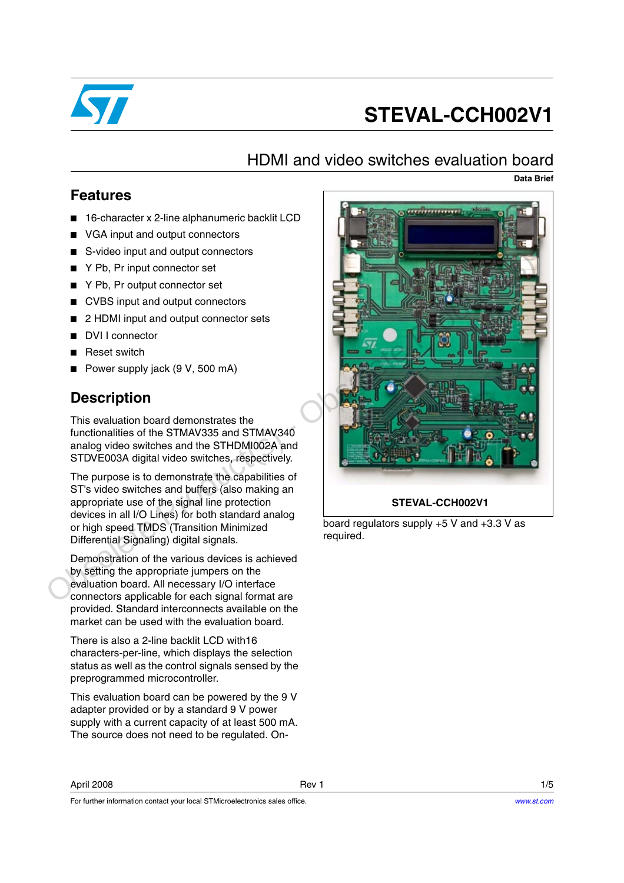

# **STEVAL-CCH002V1**

## HDMI and video switches evaluation board

**Data Brief**

#### **Features**

- 16-character x 2-line alphanumeric backlit LCD
- VGA input and output connectors
- S-video input and output connectors
- Y Pb, Pr input connector set
- Y Pb, Pr output connector set
- CVBS input and output connectors
- 2 HDMI input and output connector sets
- DVI I connector
- **Reset switch**
- Power supply jack (9 V, 500 mA)

### **Description**

This evaluation board demonstrates the functionalities of the STMAV335 and STMAV340 analog video switches and the STHDMI002A and STDVE003A digital video switches, respectively.

The purpose is to demonstrate the capabilities of ST's video switches and buffers (also making an appropriate use of the signal line protection devices in all I/O Lines) for both standard analog or high speed TMDS (Transition Minimized Differential Signaling) digital signals.

Demonstration of the various devices is achieved by setting the appropriate jumpers on the evaluation board. All necessary I/O interface connectors applicable for each signal format are provided. Standard interconnects available on the market can be used with the evaluation board.

There is also a 2-line backlit LCD with16 characters-per-line, which displays the selection status as well as the control signals sensed by the preprogrammed microcontroller.

This evaluation board can be powered by the 9 V adapter provided or by a standard 9 V power supply with a current capacity of at least 500 mA. The source does not need to be regulated. On-

For further information contact your local STMicroelectronics sales office.



board regulators supply +5 V and +3.3 V as required.

April 2008 Rev 1 1/5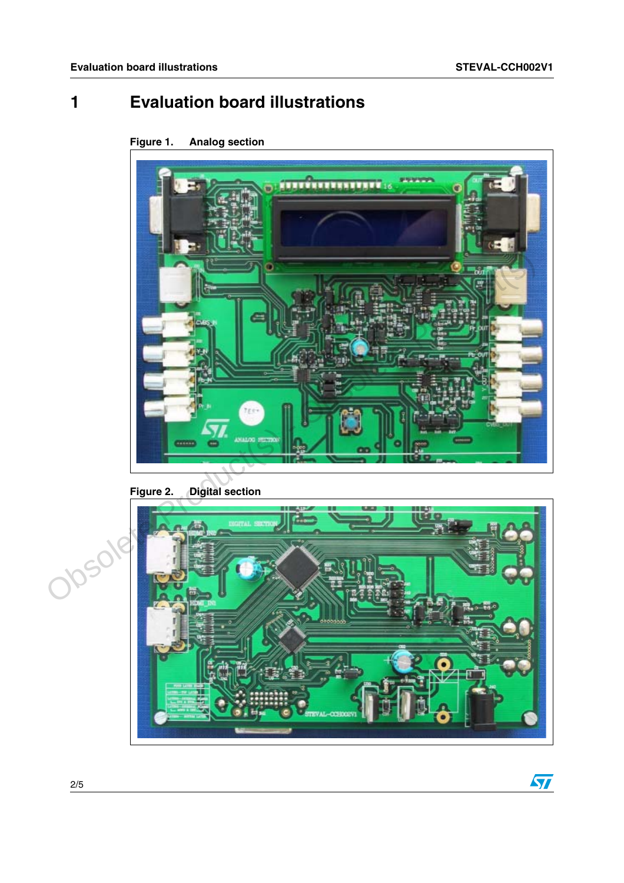## **1 Evaluation board illustrations**

**Figure 1. Analog section**



#### **Figure 2. Digital section**



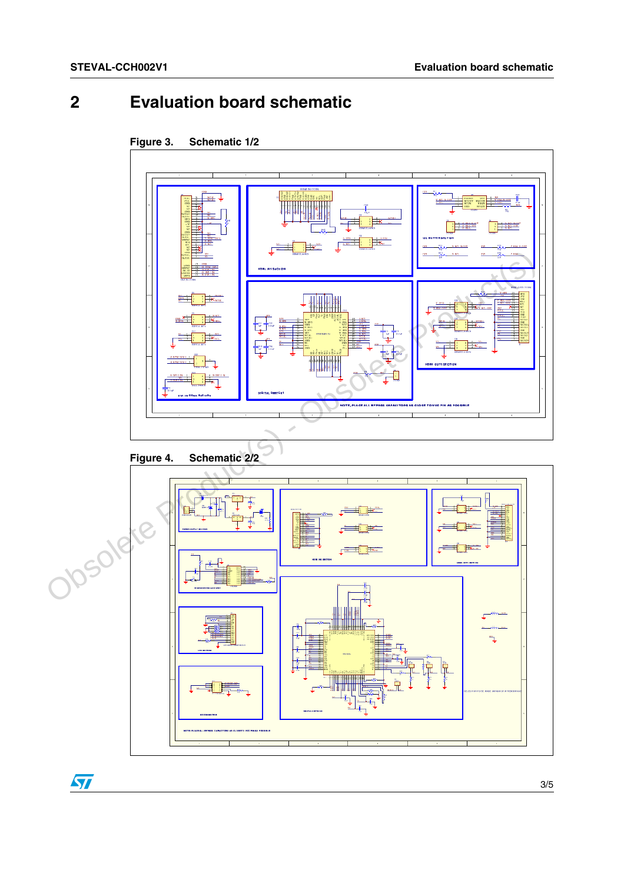## **2 Evaluation board schematic**



 $\sqrt{2}$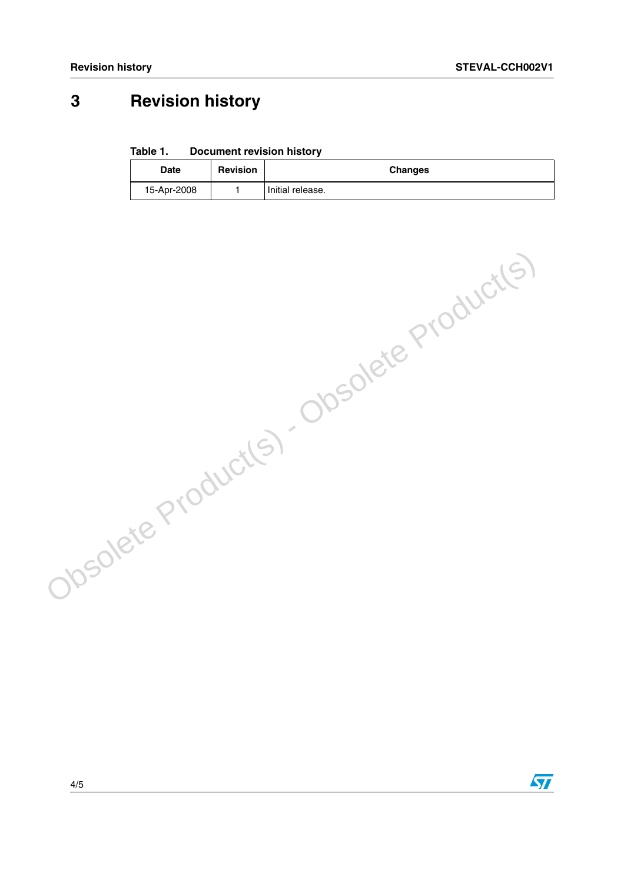## **3 Revision history**

**Table 1. Document revision history**

| <b>Date</b> | <b>Revision</b> | <b>Changes</b>   |
|-------------|-----------------|------------------|
| 15-Apr-2008 |                 | Initial release. |

Obsolete Product(s) - Obsolete Product(s)